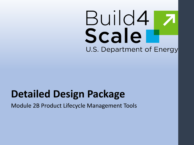# Build4 Scale U.S. Department of Energy

# **Detailed Design Package**

Module 2B Product Lifecycle Management Tools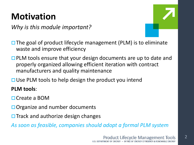# **Motivation**

*Why is this module important?*

 $\mathcal{P}$ 

 $\square$  The goal of product lifecycle management (PLM) is to eliminate waste and improve efficiency

- $\Box$  PLM tools ensure that your design documents are up to date and properly organized allowing efficient iteration with contract manufacturers and quality maintenance
- $\Box$  Use PLM tools to help design the product you intend

**PLM tools**:

**□ Create a BOM** 

- $\Box$  Organize and number documents
- $\Box$  Track and authorize design changes

*As soon as feasible, companies should adopt a formal PLM system*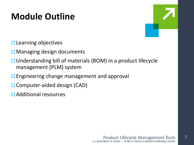# **Module Outline**

3

- $\square$  Learning objectives
- $\square$  Managing design documents
- **□ Understanding bill of materials (BOM) in a product lifecycle** management (PLM) system
- $\Box$  Engineering change management and approval
- □ Computer-aided design (CAD)
- Additional resources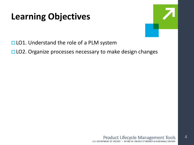# **Learning Objectives**



 $\overline{\mathcal{A}}$ 

 $\Box$  LO1. Understand the role of a PLM system

□ LO2. Organize processes necessary to make design changes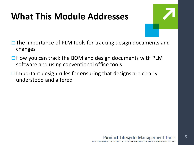# **What This Module Addresses**



- $\Box$  The importance of PLM tools for tracking design documents and changes
- $\Box$  How you can track the BOM and design documents with PLM software and using conventional office tools
- $\Box$  Important design rules for ensuring that designs are clearly understood and altered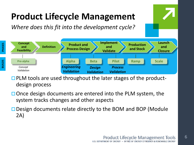# **Product Lifecycle Management**

*Where does this fit into the development cycle?*



 $\Box$  PLM tools are used throughout the later stages of the productdesign process

- $\Box$  Once design documents are entered into the PLM system, the system tracks changes and other aspects
- □ Design documents relate directly to the BOM and BOP (Module 2A)

6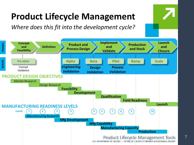# **Product Lifecycle Management**

*Where does this fit into the development cycle?*

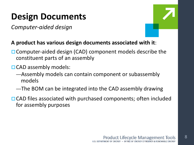# **Design Documents**

*Computer-aided design*



8

### **A product has various design documents associated with it**:

- □ Computer-aided design (CAD) component models describe the constituent parts of an assembly
- □ CAD assembly models:
	- —Assembly models can contain component or subassembly models
	- —The BOM can be integrated into the CAD assembly drawing
- $\Box$  CAD files associated with purchased components; often included for assembly purposes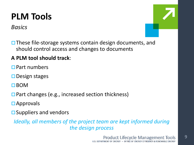# **PLM Tools**

*Basics*



 $\Box$  These file-storage systems contain design documents, and should control access and changes to documents

### **A PLM tool should track**:

**Part numbers** 

- $\square$  Design stages
- $\Box$ BOM
- $\square$  Part changes (e.g., increased section thickness)
- **□** Approvals
- $\square$  Suppliers and vendors

*Ideally, all members of the project team are kept informed during the design process*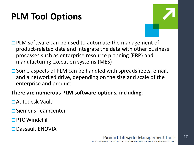# **PLM Tool Options**



- $\Box$  PLM software can be used to automate the management of product-related data and integrate the data with other business processes such as enterprise resource planning (ERP) and manufacturing execution systems (MES)
- $\square$  Some aspects of PLM can be handled with spreadsheets, email, and a networked drive, depending on the size and scale of the enterprise and product
- **There are numerous PLM software options, including**:
- Autodesk Vault
- $\square$  Siemens Teamcenter
- **PTC Windchill**
- □ Dassault ENOVIA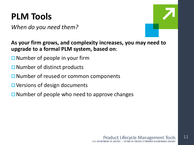# **PLM Tools**

*When do you need them?*



**As your firm grows, and complexity increases, you may need to upgrade to a formal PLM system, based on**:

- $\square$  Number of people in your firm
- $\square$  Number of distinct products
- $\Box$  Number of reused or common components
- **□ Versions of design documents**
- $\Box$  Number of people who need to approve changes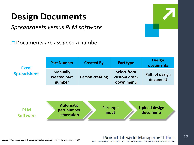# **Design Documents**

*Spreadsheets versus PLM software*

 $\square$  Documents are assigned a number

| <b>Excel</b><br><b>Spreadsheet</b> | <b>Part Number</b>                        | <b>Created By</b>      | Part type                                       | <b>Design</b><br>documents |
|------------------------------------|-------------------------------------------|------------------------|-------------------------------------------------|----------------------------|
|                                    | <b>Manually</b><br>created part<br>number | <b>Person creating</b> | <b>Select from</b><br>custom drop-<br>down menu | Path of design<br>document |



### **Product Lifecycle Management Tools** U.S. DEPARTMENT OF ENERGY . OFFICE OF ENERGY EFFICIENCY & RENEWABLE ENERGY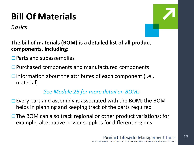# **Bill Of Materials**

*Basics*



- **The bill of materials (BOM) is a detailed list of all product components, including**:
- $\Box$  Parts and subassemblies
- **□ Purchased components and manufactured components**
- $\Box$  Information about the attributes of each component (i.e., material)

### *See Module 2B for more detail on BOMs*

- $\square$  Every part and assembly is associated with the BOM; the BOM helps in planning and keeping track of the parts required
- $\Box$  The BOM can also track regional or other product variations; for example, alternative power supplies for different regions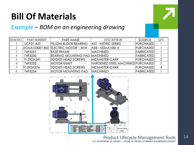# **Bill Of Materials**

### *Example – BOM on an engineering drawing*

| <b>ITEM NO.</b> | <b>PART NUMBER</b> | <b>PART NAME</b>                    | <b>DESCRIPTION</b>                | <b>SOURCE</b>      | QTY. |
|-----------------|--------------------|-------------------------------------|-----------------------------------|--------------------|------|
|                 | UCP21-AST          | <b>PILLOW BLOCK BEARING</b>         | AST - METRIC SERIES               | <b>PURCHASED</b>   |      |
|                 |                    | 3GAA103001-BSE ELECTRIC MOTOR 1.5KW | ABB - M2AA100L 6                  | <b>PURCHASED</b>   |      |
| 3               | 7493251            | <b>BASE FRAME</b>                   | <b>MACHINED</b>                   | <b>FABRICATEDI</b> |      |
|                 | 7493250            | BEARING MOUNTING PAD                | <b>MACHINED</b>                   | <b>FABRICATEDI</b> |      |
|                 | 91292A241          | <b>SOCKET HEAD SCREWS</b>           | <b>MCMASTER-CARR</b>              | <b>PURCHASED</b>   | 2    |
|                 | 7493252            | <b>MOTOR SHAFT</b>                  | HARDENED STEEL MACHINED PURCHASED |                    |      |
|                 | 91292A274          | <b>SOCKET HEAD SCREWS</b>           | <b>MCMASTER-CARR</b>              | <b>PURCHASED</b>   | 4    |
| 8               | 7493254            | <b>MOTOR MOUNTING PAD</b>           | <b>MACHINED</b>                   | <b>FABRICATED</b>  |      |



### **Product Lifecycle Management Tools** U.S. DEPARTMENT OF ENERGY . OFFICE OF ENERGY EFFICIENCY & RENEWABLE ENERGY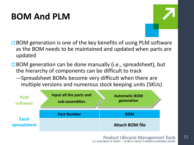# **BOM And PLM**



- $\Box$  BOM generation is one of the key benefits of using PLM software as the BOM needs to be maintained and updated when parts are updated
- $\Box$  BOM generation can be done manually (i.e., spreadsheet), but the hierarchy of components can be difficult to track
	- —Spreadsheet BOMs become very difficult when there are multiple versions and numerous stock keeping units (SKUs)

| <b>PLM</b><br>software      | Input all the parts and<br>sub-assemblies | <b>Automatic BOM</b><br>generation |  |
|-----------------------------|-------------------------------------------|------------------------------------|--|
| <b>Excel</b><br>spreadsheet | <b>Part Number</b>                        | <b>BOM</b>                         |  |
|                             |                                           | <b>Attach BOM file</b>             |  |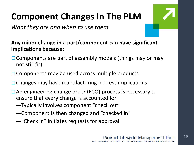# **Component Changes In The PLM**

*What they are and when to use them*

**Any minor change in a part/component can have significant implications because**:

- $\Box$  Components are part of assembly models (things may or may not still fit)
- $\Box$  Components may be used across multiple products
- $\Box$  Changes may have manufacturing process implications
- **□ An engineering change order (ECO) process is necessary to** ensure that every change is accounted for
	- —Typically involves component "check out"
	- —Component is then changed and "checked in"
	- —"Check in" initiates requests for approval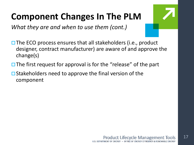# **Component Changes In The PLM**

*What they are and when to use them (cont.)*

- 
- $\Box$  The ECO process ensures that all stakeholders (i.e., product designer, contract manufacturer) are aware of and approve the change(s)
- $\Box$  The first request for approval is for the "release" of the part
- $\Box$  Stakeholders need to approve the final version of the component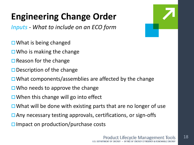# **Engineering Change Order**

*Inputs - What to include on an ECO form*

- $\Box$  What is being changed
- $\Box$  Who is making the change
- $\square$  Reason for the change
- $\square$  Description of the change
- $\Box$  What components/assemblies are affected by the change
- $\Box$  Who needs to approve the change
- $\Box$  When this change will go into effect
- $\Box$  What will be done with existing parts that are no longer of use
- □ Any necessary testing approvals, certifications, or sign-offs
- $\square$  Impact on production/purchase costs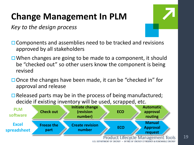# **Change Management In PLM**

*Key to the design process*



- $\Box$  Components and assemblies need to be tracked and revisions approved by all stakeholders
- $\Box$  When changes are going to be made to a component, it should be "checked out" so other users know the component is being revised
- $\Box$  Once the changes have been made, it can be "checked in" for approval and release
- $\Box$  Released parts may be in the process of being manufactured; decide if existing inventory will be used, scrapped, etc.



U.S. DEPARTMENT OF ENERGY . OFFICE OF ENERGY EFFICIENCY & RENEWABLE ENERGY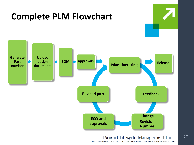

# **Complete PLM Flowchart**

**Product Lifecycle Management Tools** U.S. DEPARTMENT OF ENERGY . OFFICE OF ENERGY EFFICIENCY & RENEWABLE ENERGY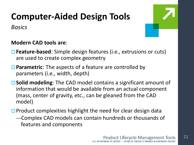# **Computer-Aided Design Tools**

*Basics*



### **Modern CAD tools are**:

- **Feature-based**: Simple design features (i.e., extrusions or cuts) are used to create complex geometry
- **Parametric**: The aspects of a feature are controlled by parameters (i.e., width, depth)
- **Solid modeling**: The CAD model contains a significant amount of information that would be available from an actual component (mass, center of gravity, etc., can be gleaned from the CAD model)
- $\Box$  Product complexities highlight the need for clear design data —Complex CAD models can contain hundreds or thousands of features and components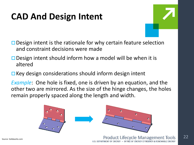# **CAD And Design Intent**

 $\square$  Design intent is the rationale for why certain feature selection and constraint decisions were made

- $\square$  Design intent should inform how a model will be when it is altered
- $\Box$  Key design considerations should inform design intent

*Example*: One hole is fixed, one is driven by an equation, and the other two are mirrored. As the size of the hinge changes, the holes remain properly spaced along the length and width.

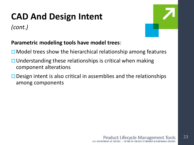# **CAD And Design Intent**

*(cont.)*



### **Parametric modeling tools have model trees**:

- $\Box$  Model trees show the hierarchical relationship among features
- $\Box$  Understanding these relationships is critical when making component alterations
- $\square$  Design intent is also critical in assemblies and the relationships among components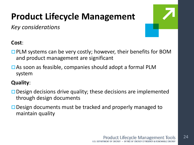# **Product Lifecycle Management**

*Key considerations*



### **Cost**:

- $\square$  PLM systems can be very costly; however, their benefits for BOM and product management are significant
- □ As soon as feasible, companies should adopt a formal PLM system

### **Quality**:

- $\Box$  Design decisions drive quality; these decisions are implemented through design documents
- **□** Design documents must be tracked and properly managed to maintain quality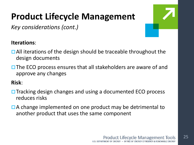# **Product Lifecycle Management**

*Key considerations (cont.)*

### **Iterations**:

- $\Box$  All iterations of the design should be traceable throughout the design documents
- $\square$  The ECO process ensures that all stakeholders are aware of and approve any changes

### **Risk**:

- $\Box$  Tracking design changes and using a documented ECO process reduces risks
- □ A change implemented on one product may be detrimental to another product that uses the same component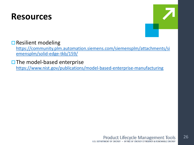## **Resources**



### $\square$  Resilient modeling

[https://community.plm.automation.siemens.com/siemensplm/attachments/si](https://community.plm.automation.siemens.com/siemensplm/attachments/siemensplm/solid-edge-tkb/159/) emensplm/solid-edge-tkb/159/

 $\square$  The model-based enterprise

<https://www.nist.gov/publications/model-based-enterprise-manufacturing>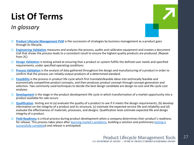# **List Of Terms**

### *In glossary*



- **[Product Lifecycle Management PLM](https://en.wikipedia.org/wiki/Product_life-cycle_management_(marketing))** is the succession of strategies by business management as a product goes through its lifecycle.
- **[Engineering Validation](http://www.getreskilled.com/what-is-a-validation-engineer/)** measures and analyzes the process, audits and calibrates equipment and creates a document trail that shows the process leads to a consistent result to ensure the highest quality products are produced. (Repeat from 2C)
- **[Design Validation](http://www.businessdictionary.com/definition/design-validation.html)** is testing aimed at ensuring that a product or system fulfills the defined user needs and specified requirements, under specified operating conditions.
- **[Process Validation](https://en.wikipedia.org/wiki/Process_validation)** is the analysis of data gathered throughout the design and manufacturing of a product in order to confirm that the process can reliably output products of a determined standard.
- **[Feasibility](https://www.investopedia.com/terms/p/product-life-cycle.asp)** is the process in product life cycle which first translatesfeasible ideas into technically feasible and economically competitive product concepts, and then produces product concept through concept generation and selection. Two commonly used techniques to decide the best design candidate are design-to-cost and life-cycle-cost analyses.
- **[Development](https://en.wikipedia.org/wiki/New_product_development)** is the stage in the product development life cycle in which transformation of a market opportunity into a product available for sale occurs.
- **[Qualification](http://www.prognostics.umd.edu/calcepapers/08_Weiqiang_qualifictaionProductDev_ICEPT-HDP.pdf)** testing are to (a) evaluate the quality of a product to see if it meets the design requirements, (b) develop information on the integrity of a product and its structure, (c) estimate the expected service life and reliability and (d) evaluate the effectiveness of materials, processes, and designs. Qualification tests estimate expected life and design integrity of a product.
- **[Field Readiness](https://www.marsdd.com/mars-library/is-the-product-ready-for-release/)** is critical process during product development when a company determines their product's readiness [for release. This process takes place after](https://www.marsdd.com/mars-library/product-testing-methods/) [learning market's problems](https://www.marsdd.com/mars-library/identifying-market-problems/)[, building a solution and](https://www.marsdd.com/mars-library/product-testing-methods/) preliminary testing is successfully completed and release is anticipated.